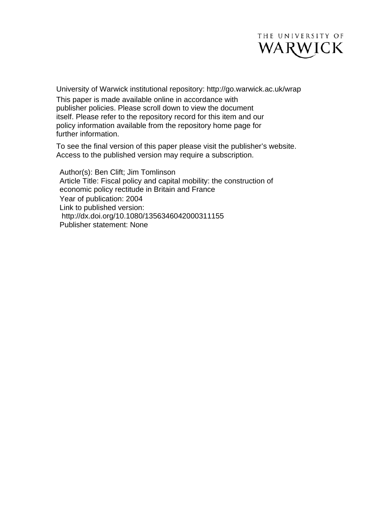

University of Warwick institutional repository: <http://go.warwick.ac.uk/wrap> This paper is made available online in accordance with publisher policies. Please scroll down to view the document itself. Please refer to the repository record for this item and our policy information available from the repository home page for further information.

To see the final version of this paper please visit the publisher's website. Access to the published version may require a subscription.

Author(s): Ben Clift; Jim Tomlinson Article Title: Fiscal policy and capital mobility: the construction of economic policy rectitude in Britain and France Year of publication: 2004 Link to published version: [http://dx.doi.org/1](http://dx.doi.org/10.1080/09639480220151154)0.1080/1356346042000311155 Publisher statement: None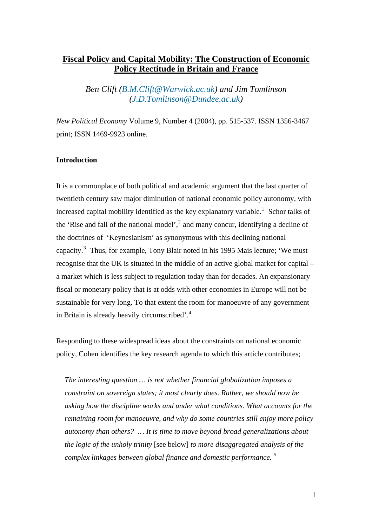# **Fiscal Policy and Capital Mobility: The Construction of Economic Policy Rectitude in Britain and France**

*Ben Clift [\(B.M.Clift@Warwick.ac.uk](mailto:B.M.Clift@Warwick.ac.uk)) and Jim Tomlinson ([J.D.Tomlinson@Dundee.ac.uk\)](mailto:J.D.Tomlinson@Dundee.ac.uk)* 

*New Political Economy* Volume 9, Number 4 (2004), pp. 515-537. ISSN 1356-3467 print; ISSN 1469-9923 online.

#### **Introduction**

It is a commonplace of both political and academic argument that the last quarter of twentieth century saw major diminution of national economic policy autonomy, with increased capital mobility identified as the key explanatory variable.<sup>[1](#page-35-0)</sup> Schor talks of the 'Rise and fall of the national model', $^2$  $^2$  and many concur, identifying a decline of the doctrines of 'Keynesianism' as synonymous with this declining national capacity.<sup>[3](#page-35-1)</sup> Thus, for example, Tony Blair noted in his 1995 Mais lecture; 'We must recognise that the UK is situated in the middle of an active global market for capital – a market which is less subject to regulation today than for decades. An expansionary fiscal or monetary policy that is at odds with other economies in Europe will not be sustainable for very long. To that extent the room for manoeuvre of any government in Britain is already heavily circumscribed'.[4](#page-35-1)

Responding to these widespread ideas about the constraints on national economic policy, Cohen identifies the key research agenda to which this article contributes;

*The interesting question … is not whether financial globalization imposes a constraint on sovereign states; it most clearly does. Rather, we should now be asking how the discipline works and under what conditions. What accounts for the remaining room for manoeuvre, and why do some countries still enjoy more policy autonomy than others? … It is time to move beyond broad generalizations about the logic of the unholy trinity* [see below] *to more disaggregated analysis of the complex linkages between global finance and domestic performance. [5](#page-35-1)*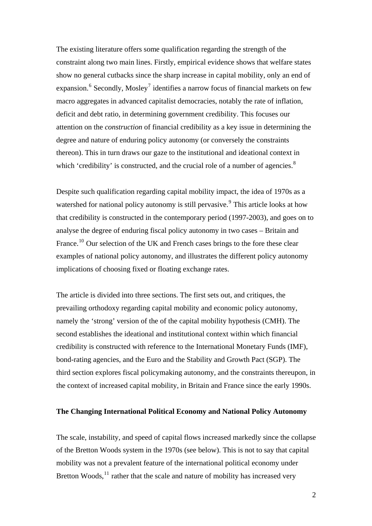The existing literature offers some qualification regarding the strength of the constraint along two main lines. Firstly, empirical evidence shows that welfare states show no general cutbacks since the sharp increase in capital mobility, only an end of expansion.<sup>[6](#page-35-1)</sup> Secondly, Mosley<sup>[7](#page-35-1)</sup> identifies a narrow focus of financial markets on few macro aggregates in advanced capitalist democracies, notably the rate of inflation, deficit and debt ratio, in determining government credibility. This focuses our attention on the *construction* of financial credibility as a key issue in determining the degree and nature of enduring policy autonomy (or conversely the constraints thereon). This in turn draws our gaze to the institutional and ideational context in which 'credibility' is constructed, and the crucial role of a number of agencies.<sup>[8](#page-35-1)</sup>

Despite such qualification regarding capital mobility impact, the idea of 1970s as a watershed for national policy autonomy is still pervasive.<sup>[9](#page-35-1)</sup> This article looks at how that credibility is constructed in the contemporary period (1997-2003), and goes on to analyse the degree of enduring fiscal policy autonomy in two cases – Britain and France.<sup>[10](#page-35-1)</sup> Our selection of the UK and French cases brings to the fore these clear examples of national policy autonomy, and illustrates the different policy autonomy implications of choosing fixed or floating exchange rates.

The article is divided into three sections. The first sets out, and critiques, the prevailing orthodoxy regarding capital mobility and economic policy autonomy, namely the 'strong' version of the of the capital mobility hypothesis (CMH). The second establishes the ideational and institutional context within which financial credibility is constructed with reference to the International Monetary Funds (IMF), bond-rating agencies, and the Euro and the Stability and Growth Pact (SGP). The third section explores fiscal policymaking autonomy, and the constraints thereupon, in the context of increased capital mobility, in Britain and France since the early 1990s.

## **The Changing International Political Economy and National Policy Autonomy**

The scale, instability, and speed of capital flows increased markedly since the collapse of the Bretton Woods system in the 1970s (see below). This is not to say that capital mobility was not a prevalent feature of the international political economy under Bretton Woods, $11$  rather that the scale and nature of mobility has increased very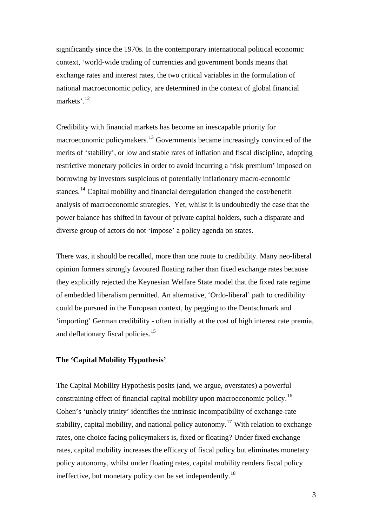significantly since the 1970s. In the contemporary international political economic context, 'world-wide trading of currencies and government bonds means that exchange rates and interest rates, the two critical variables in the formulation of national macroeconomic policy, are determined in the context of global financial markets'.[12](#page-35-1)

Credibility with financial markets has become an inescapable priority for macroeconomic policymakers.<sup>[13](#page-35-1)</sup> Governments became increasingly convinced of the merits of 'stability', or low and stable rates of inflation and fiscal discipline, adopting restrictive monetary policies in order to avoid incurring a 'risk premium' imposed on borrowing by investors suspicious of potentially inflationary macro-economic stances.[14](#page-35-1) Capital mobility and financial deregulation changed the cost/benefit analysis of macroeconomic strategies. Yet, whilst it is undoubtedly the case that the power balance has shifted in favour of private capital holders, such a disparate and diverse group of actors do not 'impose' a policy agenda on states.

There was, it should be recalled, more than one route to credibility. Many neo-liberal opinion formers strongly favoured floating rather than fixed exchange rates because they explicitly rejected the Keynesian Welfare State model that the fixed rate regime of embedded liberalism permitted. An alternative, 'Ordo-liberal' path to credibility could be pursued in the European context, by pegging to the Deutschmark and 'importing' German credibility - often initially at the cost of high interest rate premia, and deflationary fiscal policies.<sup>[15](#page-35-1)</sup>

# **The 'Capital Mobility Hypothesis'**

The Capital Mobility Hypothesis posits (and, we argue, overstates) a powerful constraining effect of financial capital mobility upon macroeconomic policy.[16](#page-35-1) Cohen's 'unholy trinity' identifies the intrinsic incompatibility of exchange-rate stability, capital mobility, and national policy autonomy.<sup>[17](#page-35-1)</sup> With relation to exchange rates, one choice facing policymakers is, fixed or floating? Under fixed exchange rates, capital mobility increases the efficacy of fiscal policy but eliminates monetary policy autonomy, whilst under floating rates, capital mobility renders fiscal policy ineffective, but monetary policy can be set independently.<sup>[18](#page-35-1)</sup>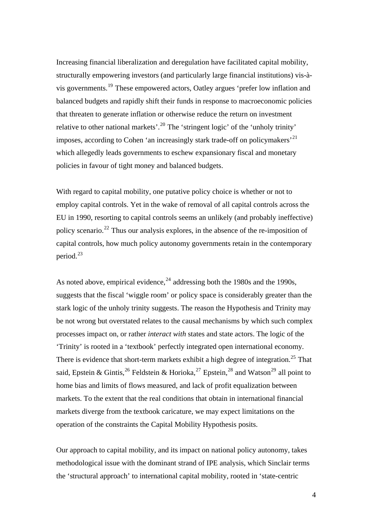Increasing financial liberalization and deregulation have facilitated capital mobility, structurally empowering investors (and particularly large financial institutions) vis-àvis governments.[19](#page-35-1) These empowered actors, Oatley argues 'prefer low inflation and balanced budgets and rapidly shift their funds in response to macroeconomic policies that threaten to generate inflation or otherwise reduce the return on investment relative to other national markets'.<sup>[20](#page-35-1)</sup> The 'stringent logic' of the 'unholy trinity' imposes, according to Cohen 'an increasingly stark trade-off on policymakers'<sup>[21](#page-35-1)</sup> which allegedly leads governments to eschew expansionary fiscal and monetary policies in favour of tight money and balanced budgets.

With regard to capital mobility, one putative policy choice is whether or not to employ capital controls. Yet in the wake of removal of all capital controls across the EU in 1990, resorting to capital controls seems an unlikely (and probably ineffective) policy scenario.<sup>[22](#page-35-1)</sup> Thus our analysis explores, in the absence of the re-imposition of capital controls, how much policy autonomy governments retain in the contemporary period.<sup>[23](#page-35-1)</sup>

As noted above, empirical evidence,  $^{24}$  $^{24}$  $^{24}$  addressing both the 1980s and the 1990s, suggests that the fiscal 'wiggle room' or policy space is considerably greater than the stark logic of the unholy trinity suggests. The reason the Hypothesis and Trinity may be not wrong but overstated relates to the causal mechanisms by which such complex processes impact on, or rather *interact with* states and state actors. The logic of the 'Trinity' is rooted in a 'textbook' perfectly integrated open international economy. There is evidence that short-term markets exhibit a high degree of integration.<sup>[25](#page-35-1)</sup> That said, Epstein & Gintis,  $^{26}$  $^{26}$  $^{26}$  Feldstein & Horioka,  $^{27}$  $^{27}$  $^{27}$  Epstein,  $^{28}$  $^{28}$  $^{28}$  and Watson  $^{29}$  $^{29}$  $^{29}$  all point to home bias and limits of flows measured, and lack of profit equalization between markets. To the extent that the real conditions that obtain in international financial markets diverge from the textbook caricature, we may expect limitations on the operation of the constraints the Capital Mobility Hypothesis posits.

Our approach to capital mobility, and its impact on national policy autonomy, takes methodological issue with the dominant strand of IPE analysis, which Sinclair terms the 'structural approach' to international capital mobility, rooted in 'state-centric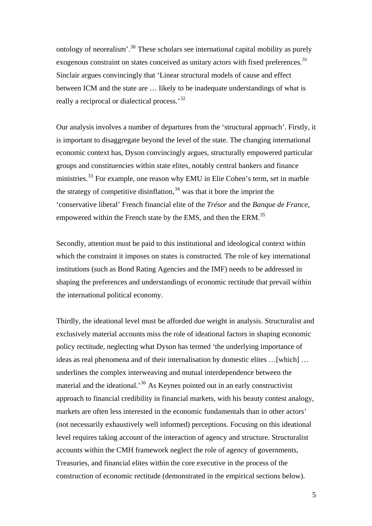ontology of neorealism'.[30](#page-35-1) These scholars see international capital mobility as purely exogenous constraint on states conceived as unitary actors with fixed preferences.<sup>[31](#page-35-1)</sup> Sinclair argues convincingly that 'Linear structural models of cause and effect between ICM and the state are … likely to be inadequate understandings of what is really a reciprocal or dialectical process.'<sup>[32](#page-35-1)</sup>

Our analysis involves a number of departures from the 'structural approach'. Firstly, it is important to disaggregate beyond the level of the state. The changing international economic context has, Dyson convincingly argues, structurally empowered particular groups and constituencies within state elites, notably central bankers and finance ministries.<sup>[33](#page-35-1)</sup> For example, one reason why EMU in Elie Cohen's term, set in marble the strategy of competitive disinflation,  $34$  was that it bore the imprint the 'conservative liberal' French financial elite of the *Trésor* and the *Banque de France*, empowered within the French state by the EMS, and then the ERM.<sup>[35](#page-35-1)</sup>

Secondly, attention must be paid to this institutional and ideological context within which the constraint it imposes on states is constructed. The role of key international institutions (such as Bond Rating Agencies and the IMF) needs to be addressed in shaping the preferences and understandings of economic rectitude that prevail within the international political economy.

Thirdly, the ideational level must be afforded due weight in analysis. Structuralist and exclusively material accounts miss the role of ideational factors in shaping economic policy rectitude, neglecting what Dyson has termed 'the underlying importance of ideas as real phenomena and of their internalisation by domestic elites …[which] … underlines the complex interweaving and mutual interdependence between the material and the ideational.<sup>[36](#page-35-1)</sup> As Keynes pointed out in an early constructivist approach to financial credibility in financial markets, with his beauty contest analogy, markets are often less interested in the economic fundamentals than in other actors' (not necessarily exhaustively well informed) perceptions. Focusing on this ideational level requires taking account of the interaction of agency and structure. Structuralist accounts within the CMH framework neglect the role of agency of governments, Treasuries, and financial elites within the core executive in the process of the construction of economic rectitude (demonstrated in the empirical sections below).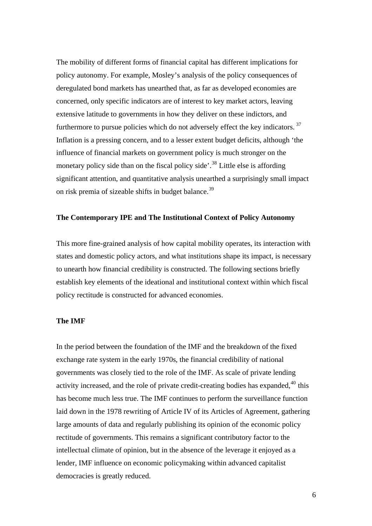The mobility of different forms of financial capital has different implications for policy autonomy. For example, Mosley's analysis of the policy consequences of deregulated bond markets has unearthed that, as far as developed economies are concerned, only specific indicators are of interest to key market actors, leaving extensive latitude to governments in how they deliver on these indictors, and furthermore to pursue policies which do not adversely effect the key indicators.<sup>[37](#page-35-1)</sup> Inflation is a pressing concern, and to a lesser extent budget deficits, although 'the influence of financial markets on government policy is much stronger on the monetary policy side than on the fiscal policy side'.<sup>[38](#page-35-1)</sup> Little else is affording significant attention, and quantitative analysis unearthed a surprisingly small impact on risk premia of sizeable shifts in budget balance.<sup>[39](#page-35-1)</sup>

#### **The Contemporary IPE and The Institutional Context of Policy Autonomy**

This more fine-grained analysis of how capital mobility operates, its interaction with states and domestic policy actors, and what institutions shape its impact, is necessary to unearth how financial credibility is constructed. The following sections briefly establish key elements of the ideational and institutional context within which fiscal policy rectitude is constructed for advanced economies.

#### **The IMF**

In the period between the foundation of the IMF and the breakdown of the fixed exchange rate system in the early 1970s, the financial credibility of national governments was closely tied to the role of the IMF. As scale of private lending activity increased, and the role of private credit-creating bodies has expanded,  $40$  this has become much less true. The IMF continues to perform the surveillance function laid down in the 1978 rewriting of Article IV of its Articles of Agreement, gathering large amounts of data and regularly publishing its opinion of the economic policy rectitude of governments. This remains a significant contributory factor to the intellectual climate of opinion, but in the absence of the leverage it enjoyed as a lender, IMF influence on economic policymaking within advanced capitalist democracies is greatly reduced.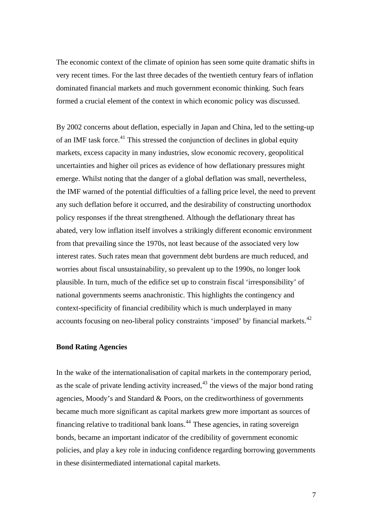The economic context of the climate of opinion has seen some quite dramatic shifts in very recent times. For the last three decades of the twentieth century fears of inflation dominated financial markets and much government economic thinking. Such fears formed a crucial element of the context in which economic policy was discussed.

By 2002 concerns about deflation, especially in Japan and China, led to the setting-up of an IMF task force.<sup>[41](#page-35-1)</sup> This stressed the conjunction of declines in global equity markets, excess capacity in many industries, slow economic recovery, geopolitical uncertainties and higher oil prices as evidence of how deflationary pressures might emerge. Whilst noting that the danger of a global deflation was small, nevertheless, the IMF warned of the potential difficulties of a falling price level, the need to prevent any such deflation before it occurred, and the desirability of constructing unorthodox policy responses if the threat strengthened. Although the deflationary threat has abated, very low inflation itself involves a strikingly different economic environment from that prevailing since the 1970s, not least because of the associated very low interest rates. Such rates mean that government debt burdens are much reduced, and worries about fiscal unsustainability, so prevalent up to the 1990s, no longer look plausible. In turn, much of the edifice set up to constrain fiscal 'irresponsibility' of national governments seems anachronistic. This highlights the contingency and context-specificity of financial credibility which is much underplayed in many accounts focusing on neo-liberal policy constraints 'imposed' by financial markets.<sup>[42](#page-35-1)</sup>

#### **Bond Rating Agencies**

In the wake of the internationalisation of capital markets in the contemporary period, as the scale of private lending activity increased, $43$  the views of the major bond rating agencies, Moody's and Standard & Poors, on the creditworthiness of governments became much more significant as capital markets grew more important as sources of financing relative to traditional bank loans.[44](#page-35-1) These agencies, in rating sovereign bonds, became an important indicator of the credibility of government economic policies, and play a key role in inducing confidence regarding borrowing governments in these disintermediated international capital markets.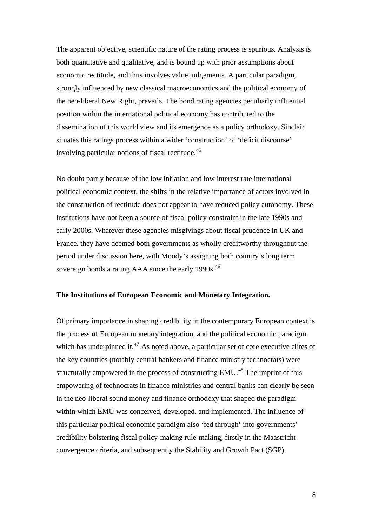The apparent objective, scientific nature of the rating process is spurious. Analysis is both quantitative and qualitative, and is bound up with prior assumptions about economic rectitude, and thus involves value judgements. A particular paradigm, strongly influenced by new classical macroeconomics and the political economy of the neo-liberal New Right, prevails. The bond rating agencies peculiarly influential position within the international political economy has contributed to the dissemination of this world view and its emergence as a policy orthodoxy. Sinclair situates this ratings process within a wider 'construction' of 'deficit discourse' involving particular notions of fiscal rectitude. $45$ 

No doubt partly because of the low inflation and low interest rate international political economic context, the shifts in the relative importance of actors involved in the construction of rectitude does not appear to have reduced policy autonomy. These institutions have not been a source of fiscal policy constraint in the late 1990s and early 2000s. Whatever these agencies misgivings about fiscal prudence in UK and France, they have deemed both governments as wholly creditworthy throughout the period under discussion here, with Moody's assigning both country's long term sovereign bonds a rating AAA since the early 1990s.<sup>[46](#page-35-1)</sup>

#### **The Institutions of European Economic and Monetary Integration.**

Of primary importance in shaping credibility in the contemporary European context is the process of European monetary integration, and the political economic paradigm which has underpinned it.<sup>[47](#page-35-1)</sup> As noted above, a particular set of core executive elites of the key countries (notably central bankers and finance ministry technocrats) were structurally empowered in the process of constructing  $EMU<sup>48</sup>$  $EMU<sup>48</sup>$  $EMU<sup>48</sup>$ . The imprint of this empowering of technocrats in finance ministries and central banks can clearly be seen in the neo-liberal sound money and finance orthodoxy that shaped the paradigm within which EMU was conceived, developed, and implemented. The influence of this particular political economic paradigm also 'fed through' into governments' credibility bolstering fiscal policy-making rule-making, firstly in the Maastricht convergence criteria, and subsequently the Stability and Growth Pact (SGP).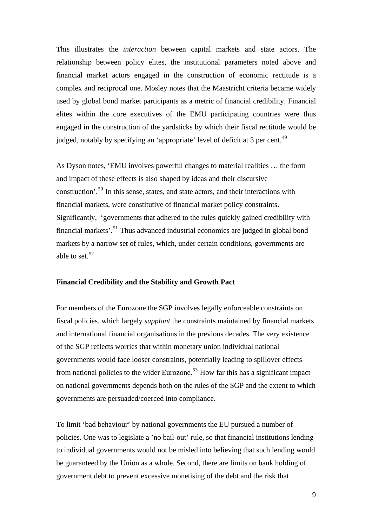This illustrates the *interaction* between capital markets and state actors. The relationship between policy elites, the institutional parameters noted above and financial market actors engaged in the construction of economic rectitude is a complex and reciprocal one. Mosley notes that the Maastricht criteria became widely used by global bond market participants as a metric of financial credibility. Financial elites within the core executives of the EMU participating countries were thus engaged in the construction of the yardsticks by which their fiscal rectitude would be judged, notably by specifying an 'appropriate' level of deficit at 3 per cent.<sup>[49](#page-35-1)</sup>

As Dyson notes, 'EMU involves powerful changes to material realities … the form and impact of these effects is also shaped by ideas and their discursive construction'.[50](#page-35-1) In this sense, states, and state actors, and their interactions with financial markets, were constitutive of financial market policy constraints. Significantly, 'governments that adhered to the rules quickly gained credibility with financial markets'.[51](#page-35-1) Thus advanced industrial economies are judged in global bond markets by a narrow set of rules, which, under certain conditions, governments are able to set.<sup>[52](#page-35-1)</sup>

### **Financial Credibility and the Stability and Growth Pact**

For members of the Eurozone the SGP involves legally enforceable constraints on fiscal policies, which largely *supplant* the constraints maintained by financial markets and international financial organisations in the previous decades. The very existence of the SGP reflects worries that within monetary union individual national governments would face looser constraints, potentially leading to spillover effects from national policies to the wider Eurozone.<sup>[53](#page-35-1)</sup> How far this has a significant impact on national governments depends both on the rules of the SGP and the extent to which governments are persuaded/coerced into compliance.

To limit 'bad behaviour' by national governments the EU pursued a number of policies. One was to legislate a 'no bail-out' rule, so that financial institutions lending to individual governments would not be misled into believing that such lending would be guaranteed by the Union as a whole. Second, there are limits on bank holding of government debt to prevent excessive monetising of the debt and the risk that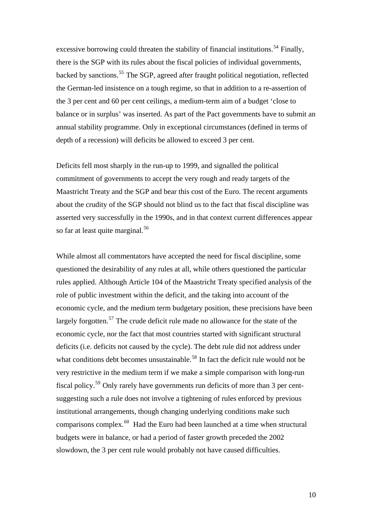excessive borrowing could threaten the stability of financial institutions.<sup>[54](#page-35-1)</sup> Finally, there is the SGP with its rules about the fiscal policies of individual governments, backed by sanctions.[55](#page-35-1) The SGP, agreed after fraught political negotiation, reflected the German-led insistence on a tough regime, so that in addition to a re-assertion of the 3 per cent and 60 per cent ceilings, a medium-term aim of a budget 'close to balance or in surplus' was inserted. As part of the Pact governments have to submit an annual stability programme. Only in exceptional circumstances (defined in terms of depth of a recession) will deficits be allowed to exceed 3 per cent.

Deficits fell most sharply in the run-up to 1999, and signalled the political commitment of governments to accept the very rough and ready targets of the Maastricht Treaty and the SGP and bear this cost of the Euro. The recent arguments about the crudity of the SGP should not blind us to the fact that fiscal discipline was asserted very successfully in the 1990s, and in that context current differences appear so far at least quite marginal.<sup>[56](#page-35-1)</sup>

While almost all commentators have accepted the need for fiscal discipline, some questioned the desirability of any rules at all, while others questioned the particular rules applied. Although Article 104 of the Maastricht Treaty specified analysis of the role of public investment within the deficit, and the taking into account of the economic cycle, and the medium term budgetary position, these precisions have been largely forgotten.<sup>[57](#page-35-1)</sup> The crude deficit rule made no allowance for the state of the economic cycle, nor the fact that most countries started with significant structural deficits (i.e. deficits not caused by the cycle). The debt rule did not address under what conditions debt becomes unsustainable.<sup>[58](#page-35-1)</sup> In fact the deficit rule would not be very restrictive in the medium term if we make a simple comparison with long-run fiscal policy.[59](#page-35-1) Only rarely have governments run deficits of more than 3 per centsuggesting such a rule does not involve a tightening of rules enforced by previous institutional arrangements, though changing underlying conditions make such comparisons complex.[60](#page-35-1) Had the Euro had been launched at a time when structural budgets were in balance, or had a period of faster growth preceded the 2002 slowdown, the 3 per cent rule would probably not have caused difficulties.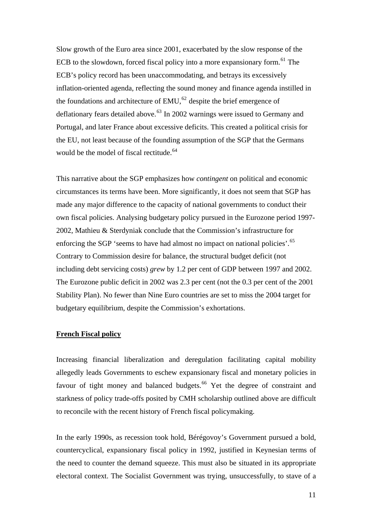Slow growth of the Euro area since 2001, exacerbated by the slow response of the ECB to the slowdown, forced fiscal policy into a more expansionary form.<sup>[61](#page-35-1)</sup> The ECB's policy record has been unaccommodating, and betrays its excessively inflation-oriented agenda, reflecting the sound money and finance agenda instilled in the foundations and architecture of  $EMU<sub>0</sub><sup>62</sup>$  $EMU<sub>0</sub><sup>62</sup>$  $EMU<sub>0</sub><sup>62</sup>$  despite the brief emergence of deflationary fears detailed above.<sup>[63](#page-35-1)</sup> In 2002 warnings were issued to Germany and Portugal, and later France about excessive deficits. This created a political crisis for the EU, not least because of the founding assumption of the SGP that the Germans would be the model of fiscal rectitude.<sup>[64](#page-35-1)</sup>

This narrative about the SGP emphasizes how *contingent* on political and economic circumstances its terms have been. More significantly, it does not seem that SGP has made any major difference to the capacity of national governments to conduct their own fiscal policies. Analysing budgetary policy pursued in the Eurozone period 1997- 2002, Mathieu & Sterdyniak conclude that the Commission's infrastructure for enforcing the SGP 'seems to have had almost no impact on national policies'.<sup>[65](#page-35-1)</sup> Contrary to Commission desire for balance, the structural budget deficit (not including debt servicing costs) *grew* by 1.2 per cent of GDP between 1997 and 2002. The Eurozone public deficit in 2002 was 2.3 per cent (not the 0.3 per cent of the 2001 Stability Plan). No fewer than Nine Euro countries are set to miss the 2004 target for budgetary equilibrium, despite the Commission's exhortations.

# **French Fiscal policy**

Increasing financial liberalization and deregulation facilitating capital mobility allegedly leads Governments to eschew expansionary fiscal and monetary policies in favour of tight money and balanced budgets.<sup>[66](#page-35-1)</sup> Yet the degree of constraint and starkness of policy trade-offs posited by CMH scholarship outlined above are difficult to reconcile with the recent history of French fiscal policymaking.

In the early 1990s, as recession took hold, Bérégovoy's Government pursued a bold, countercyclical, expansionary fiscal policy in 1992, justified in Keynesian terms of the need to counter the demand squeeze. This must also be situated in its appropriate electoral context. The Socialist Government was trying, unsuccessfully, to stave of a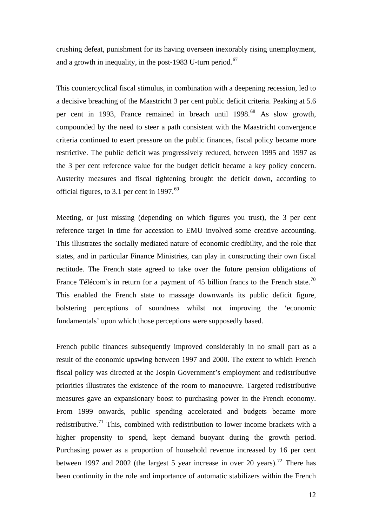crushing defeat, punishment for its having overseen inexorably rising unemployment, and a growth in inequality, in the post-1983 U-turn period.<sup>[67](#page-35-1)</sup>

This countercyclical fiscal stimulus, in combination with a deepening recession, led to a decisive breaching of the Maastricht 3 per cent public deficit criteria. Peaking at 5.6 per cent in 1993, France remained in breach until 1998.<sup>[68](#page-35-1)</sup> As slow growth, compounded by the need to steer a path consistent with the Maastricht convergence criteria continued to exert pressure on the public finances, fiscal policy became more restrictive. The public deficit was progressively reduced, between 1995 and 1997 as the 3 per cent reference value for the budget deficit became a key policy concern. Austerity measures and fiscal tightening brought the deficit down, according to official figures, to 3.1 per cent in 1997. $^{69}$  $^{69}$  $^{69}$ 

Meeting, or just missing (depending on which figures you trust), the 3 per cent reference target in time for accession to EMU involved some creative accounting. This illustrates the socially mediated nature of economic credibility, and the role that states, and in particular Finance Ministries, can play in constructing their own fiscal rectitude. The French state agreed to take over the future pension obligations of France Télécom's in return for a payment of 45 billion francs to the French state.<sup>[70](#page-35-1)</sup> This enabled the French state to massage downwards its public deficit figure, bolstering perceptions of soundness whilst not improving the 'economic fundamentals' upon which those perceptions were supposedly based.

French public finances subsequently improved considerably in no small part as a result of the economic upswing between 1997 and 2000. The extent to which French fiscal policy was directed at the Jospin Government's employment and redistributive priorities illustrates the existence of the room to manoeuvre. Targeted redistributive measures gave an expansionary boost to purchasing power in the French economy. From 1999 onwards, public spending accelerated and budgets became more redistributive.<sup>[71](#page-35-1)</sup> This, combined with redistribution to lower income brackets with a higher propensity to spend, kept demand buoyant during the growth period. Purchasing power as a proportion of household revenue increased by 16 per cent between 1997 and 2002 (the largest 5 year increase in over 20 years).<sup>[72](#page-35-1)</sup> There has been continuity in the role and importance of automatic stabilizers within the French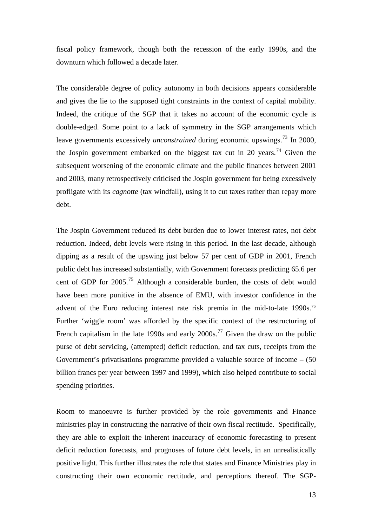fiscal policy framework, though both the recession of the early 1990s, and the downturn which followed a decade later.

The considerable degree of policy autonomy in both decisions appears considerable and gives the lie to the supposed tight constraints in the context of capital mobility. Indeed, the critique of the SGP that it takes no account of the economic cycle is double-edged. Some point to a lack of symmetry in the SGP arrangements which leave governments excessively *unconstrained* during economic upswings.<sup>[73](#page-35-1)</sup> In 2000, the Jospin government embarked on the biggest tax cut in 20 years.<sup>[74](#page-35-1)</sup> Given the subsequent worsening of the economic climate and the public finances between 2001 and 2003, many retrospectively criticised the Jospin government for being excessively profligate with its *cagnotte* (tax windfall), using it to cut taxes rather than repay more debt.

The Jospin Government reduced its debt burden due to lower interest rates, not debt reduction. Indeed, debt levels were rising in this period. In the last decade, although dipping as a result of the upswing just below 57 per cent of GDP in 2001, French public debt has increased substantially, with Government forecasts predicting 65.6 per cent of GDP for 2005.[75](#page-35-1) Although a considerable burden, the costs of debt would have been more punitive in the absence of EMU, with investor confidence in the advent of the Euro reducing interest rate risk premia in the mid-to-late 1990s.<sup>[76](#page-35-1)</sup> Further 'wiggle room' was afforded by the specific context of the restructuring of French capitalism in the late 1990s and early  $2000s$ .<sup>[77](#page-35-1)</sup> Given the draw on the public purse of debt servicing, (attempted) deficit reduction, and tax cuts, receipts from the Government's privatisations programme provided a valuable source of income  $-$  (50) billion francs per year between 1997 and 1999), which also helped contribute to social spending priorities.

Room to manoeuvre is further provided by the role governments and Finance ministries play in constructing the narrative of their own fiscal rectitude. Specifically, they are able to exploit the inherent inaccuracy of economic forecasting to present deficit reduction forecasts, and prognoses of future debt levels, in an unrealistically positive light. This further illustrates the role that states and Finance Ministries play in constructing their own economic rectitude, and perceptions thereof. The SGP-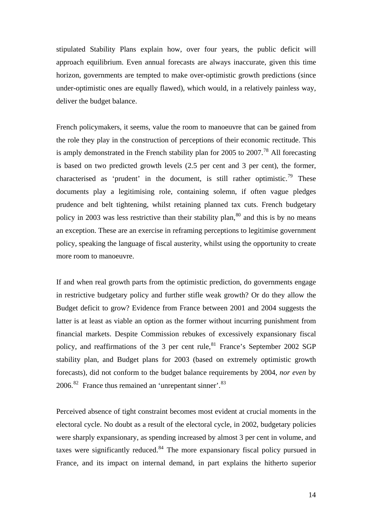stipulated Stability Plans explain how, over four years, the public deficit will approach equilibrium. Even annual forecasts are always inaccurate, given this time horizon, governments are tempted to make over-optimistic growth predictions (since under-optimistic ones are equally flawed), which would, in a relatively painless way, deliver the budget balance.

French policymakers, it seems, value the room to manoeuvre that can be gained from the role they play in the construction of perceptions of their economic rectitude. This is amply demonstrated in the French stability plan for 2005 to 2007.<sup>[78](#page-35-1)</sup> All forecasting is based on two predicted growth levels (2.5 per cent and 3 per cent), the former, characterised as 'prudent' in the document, is still rather optimistic.<sup>[79](#page-35-1)</sup> These documents play a legitimising role, containing solemn, if often vague pledges prudence and belt tightening, whilst retaining planned tax cuts. French budgetary policy in 2003 was less restrictive than their stability plan,  $80$  and this is by no means an exception. These are an exercise in reframing perceptions to legitimise government policy, speaking the language of fiscal austerity, whilst using the opportunity to create more room to manoeuvre.

If and when real growth parts from the optimistic prediction, do governments engage in restrictive budgetary policy and further stifle weak growth? Or do they allow the Budget deficit to grow? Evidence from France between 2001 and 2004 suggests the latter is at least as viable an option as the former without incurring punishment from financial markets. Despite Commission rebukes of excessively expansionary fiscal policy, and reaffirmations of the 3 per cent rule,  $81$  France's September 2002 SGP stability plan, and Budget plans for 2003 (based on extremely optimistic growth forecasts), did not conform to the budget balance requirements by 2004, *nor even* by  $2006$ <sup>[82](#page-35-1)</sup> France thus remained an 'unrepentant sinner'.<sup>[83](#page-35-1)</sup>

Perceived absence of tight constraint becomes most evident at crucial moments in the electoral cycle. No doubt as a result of the electoral cycle, in 2002, budgetary policies were sharply expansionary, as spending increased by almost 3 per cent in volume, and taxes were significantly reduced. $84$  The more expansionary fiscal policy pursued in France, and its impact on internal demand, in part explains the hitherto superior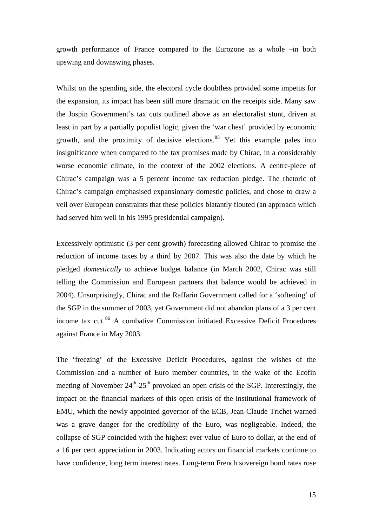growth performance of France compared to the Eurozone as a whole –in both upswing and downswing phases.

Whilst on the spending side, the electoral cycle doubtless provided some impetus for the expansion, its impact has been still more dramatic on the receipts side. Many saw the Jospin Government's tax cuts outlined above as an electoralist stunt, driven at least in part by a partially populist logic, given the 'war chest' provided by economic growth, and the proximity of decisive elections. $85$  Yet this example pales into insignificance when compared to the tax promises made by Chirac, in a considerably worse economic climate, in the context of the 2002 elections. A centre-piece of Chirac's campaign was a 5 percent income tax reduction pledge. The rhetoric of Chirac's campaign emphasised expansionary domestic policies, and chose to draw a veil over European constraints that these policies blatantly flouted (an approach which had served him well in his 1995 presidential campaign).

Excessively optimistic (3 per cent growth) forecasting allowed Chirac to promise the reduction of income taxes by a third by 2007. This was also the date by which he pledged *domestically* to achieve budget balance (in March 2002, Chirac was still telling the Commission and European partners that balance would be achieved in 2004). Unsurprisingly, Chirac and the Raffarin Government called for a 'softening' of the SGP in the summer of 2003, yet Government did not abandon plans of a 3 per cent income tax cut.<sup>[86](#page-35-1)</sup> A combative Commission initiated Excessive Deficit Procedures against France in May 2003.

The 'freezing' of the Excessive Deficit Procedures, against the wishes of the Commission and a number of Euro member countries, in the wake of the Ecofin meeting of November  $24^{\text{th}}-25^{\text{th}}$  provoked an open crisis of the SGP. Interestingly, the impact on the financial markets of this open crisis of the institutional framework of EMU, which the newly appointed governor of the ECB, Jean-Claude Trichet warned was a grave danger for the credibility of the Euro, was negligeable. Indeed, the collapse of SGP coincided with the highest ever value of Euro to dollar, at the end of a 16 per cent appreciation in 2003. Indicating actors on financial markets continue to have confidence, long term interest rates. Long-term French sovereign bond rates rose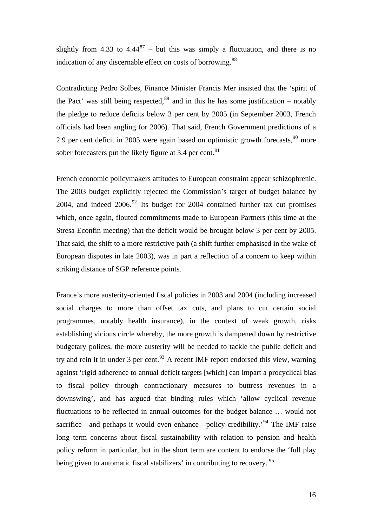slightly from 4.33 to  $4.44^{87}$  $4.44^{87}$  $4.44^{87}$  – but this was simply a fluctuation, and there is no indication of any discernable effect on costs of borrowing.<sup>[88](#page-35-1)</sup>

Contradicting Pedro Solbes, Finance Minister Francis Mer insisted that the 'spirit of the Pact' was still being respected,  $89$  and in this he has some justification – notably the pledge to reduce deficits below 3 per cent by 2005 (in September 2003, French officials had been angling for 2006). That said, French Government predictions of a 2.9 per cent deficit in 2005 were again based on optimistic growth forecasts,  $90$  more sober forecasters put the likely figure at 3.4 per cent.<sup>[91](#page-35-1)</sup>

French economic policymakers attitudes to European constraint appear schizophrenic. The 2003 budget explicitly rejected the Commission's target of budget balance by 2004, and indeed 2006.<sup>[92](#page-35-1)</sup> Its budget for 2004 contained further tax cut promises which, once again, flouted commitments made to European Partners (this time at the Stresa Econfin meeting) that the deficit would be brought below 3 per cent by 2005. That said, the shift to a more restrictive path (a shift further emphasised in the wake of European disputes in late 2003), was in part a reflection of a concern to keep within striking distance of SGP reference points.

France's more austerity-oriented fiscal policies in 2003 and 2004 (including increased social charges to more than offset tax cuts, and plans to cut certain social programmes, notably health insurance), in the context of weak growth, risks establishing vicious circle whereby, the more growth is dampened down by restrictive budgetary polices, the more austerity will be needed to tackle the public deficit and try and rein it in under 3 per cent.<sup>[93](#page-35-1)</sup> A recent IMF report endorsed this view, warning against 'rigid adherence to annual deficit targets [which] can impart a procyclical bias to fiscal policy through contractionary measures to buttress revenues in a downswing', and has argued that binding rules which 'allow cyclical revenue fluctuations to be reflected in annual outcomes for the budget balance … would not sacrifice—and perhaps it would even enhance—policy credibility.<sup>[94](#page-35-1)</sup> The IMF raise long term concerns about fiscal sustainability with relation to pension and health policy reform in particular, but in the short term are content to endorse the 'full play being given to automatic fiscal stabilizers' in contributing to recovery. <sup>[95](#page-35-1)</sup>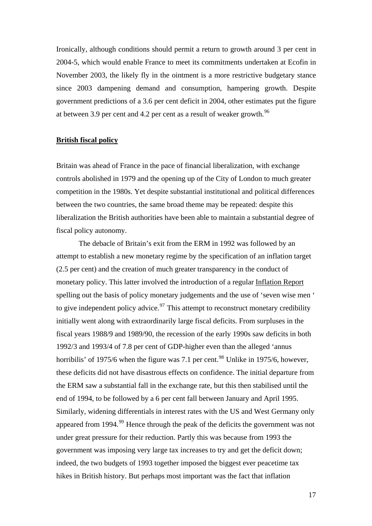Ironically, although conditions should permit a return to growth around 3 per cent in 2004-5, which would enable France to meet its commitments undertaken at Ecofin in November 2003, the likely fly in the ointment is a more restrictive budgetary stance since 2003 dampening demand and consumption, hampering growth. Despite government predictions of a 3.6 per cent deficit in 2004, other estimates put the figure at between 3.9 per cent and 4.2 per cent as a result of weaker growth.<sup>[96](#page-35-1)</sup>

#### **British fiscal policy**

Britain was ahead of France in the pace of financial liberalization, with exchange controls abolished in 1979 and the opening up of the City of London to much greater competition in the 1980s. Yet despite substantial institutional and political differences between the two countries, the same broad theme may be repeated: despite this liberalization the British authorities have been able to maintain a substantial degree of fiscal policy autonomy.

 The debacle of Britain's exit from the ERM in 1992 was followed by an attempt to establish a new monetary regime by the specification of an inflation target (2.5 per cent) and the creation of much greater transparency in the conduct of monetary policy. This latter involved the introduction of a regular Inflation Report spelling out the basis of policy monetary judgements and the use of 'seven wise men ' to give independent policy advice.<sup>[97](#page-35-1)</sup> This attempt to reconstruct monetary credibility initially went along with extraordinarily large fiscal deficits. From surpluses in the fiscal years 1988/9 and 1989/90, the recession of the early 1990s saw deficits in both 1992/3 and 1993/4 of 7.8 per cent of GDP-higher even than the alleged 'annus horribilis' of 1975/6 when the figure was 7.1 per cent.<sup>[98](#page-35-1)</sup> Unlike in 1975/6, however, these deficits did not have disastrous effects on confidence. The initial departure from the ERM saw a substantial fall in the exchange rate, but this then stabilised until the end of 1994, to be followed by a 6 per cent fall between January and April 1995. Similarly, widening differentials in interest rates with the US and West Germany only appeared from  $1994.99$  $1994.99$  $1994.99$  Hence through the peak of the deficits the government was not under great pressure for their reduction. Partly this was because from 1993 the government was imposing very large tax increases to try and get the deficit down; indeed, the two budgets of 1993 together imposed the biggest ever peacetime tax hikes in British history. But perhaps most important was the fact that inflation

17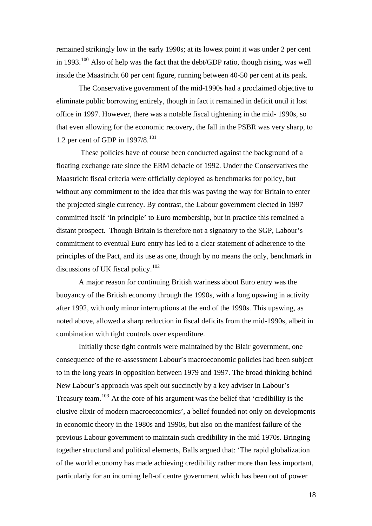remained strikingly low in the early 1990s; at its lowest point it was under 2 per cent in 1993.<sup>[100](#page-35-1)</sup> Also of help was the fact that the debt/GDP ratio, though rising, was well inside the Maastricht 60 per cent figure, running between 40-50 per cent at its peak.

 The Conservative government of the mid-1990s had a proclaimed objective to eliminate public borrowing entirely, though in fact it remained in deficit until it lost office in 1997. However, there was a notable fiscal tightening in the mid- 1990s, so that even allowing for the economic recovery, the fall in the PSBR was very sharp, to 1.2 per cent of GDP in  $1997/8$ .<sup>[101](#page-35-1)</sup>

 These policies have of course been conducted against the background of a floating exchange rate since the ERM debacle of 1992. Under the Conservatives the Maastricht fiscal criteria were officially deployed as benchmarks for policy, but without any commitment to the idea that this was paving the way for Britain to enter the projected single currency. By contrast, the Labour government elected in 1997 committed itself 'in principle' to Euro membership, but in practice this remained a distant prospect. Though Britain is therefore not a signatory to the SGP, Labour's commitment to eventual Euro entry has led to a clear statement of adherence to the principles of the Pact, and its use as one, though by no means the only, benchmark in discussions of UK fiscal policy.<sup>[102](#page-35-1)</sup>

 A major reason for continuing British wariness about Euro entry was the buoyancy of the British economy through the 1990s, with a long upswing in activity after 1992, with only minor interruptions at the end of the 1990s. This upswing, as noted above, allowed a sharp reduction in fiscal deficits from the mid-1990s, albeit in combination with tight controls over expenditure.

 Initially these tight controls were maintained by the Blair government, one consequence of the re-assessment Labour's macroeconomic policies had been subject to in the long years in opposition between 1979 and 1997. The broad thinking behind New Labour's approach was spelt out succinctly by a key adviser in Labour's Treasury team.<sup>[103](#page-35-1)</sup> At the core of his argument was the belief that 'credibility is the elusive elixir of modern macroeconomics', a belief founded not only on developments in economic theory in the 1980s and 1990s, but also on the manifest failure of the previous Labour government to maintain such credibility in the mid 1970s. Bringing together structural and political elements, Balls argued that: 'The rapid globalization of the world economy has made achieving credibility rather more than less important, particularly for an incoming left-of centre government which has been out of power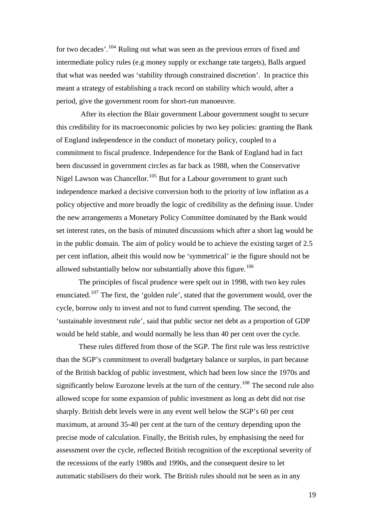for two decades'.<sup>[104](#page-35-1)</sup> Ruling out what was seen as the previous errors of fixed and intermediate policy rules (e.g money supply or exchange rate targets), Balls argued that what was needed was 'stability through constrained discretion'. In practice this meant a strategy of establishing a track record on stability which would, after a period, give the government room for short-run manoeuvre.

 After its election the Blair government Labour government sought to secure this credibility for its macroeconomic policies by two key policies: granting the Bank of England independence in the conduct of monetary policy, coupled to a commitment to fiscal prudence. Independence for the Bank of England had in fact been discussed in government circles as far back as 1988, when the Conservative Nigel Lawson was Chancellor.<sup>[105](#page-35-1)</sup> But for a Labour government to grant such independence marked a decisive conversion both to the priority of low inflation as a policy objective and more broadly the logic of credibility as the defining issue. Under the new arrangements a Monetary Policy Committee dominated by the Bank would set interest rates, on the basis of minuted discussions which after a short lag would be in the public domain. The aim of policy would be to achieve the existing target of 2.5 per cent inflation, albeit this would now be 'symmetrical' ie the figure should not be allowed substantially below nor substantially above this figure.<sup>[106](#page-35-1)</sup>

The principles of fiscal prudence were spelt out in 1998, with two key rules enunciated.[107](#page-35-1) The first, the 'golden rule', stated that the government would, over the cycle, borrow only to invest and not to fund current spending. The second, the 'sustainable investment rule', said that public sector net debt as a proportion of GDP would be held stable, and would normally be less than 40 per cent over the cycle.

 These rules differed from those of the SGP. The first rule was less restrictive than the SGP's commitment to overall budgetary balance or surplus, in part because of the British backlog of public investment, which had been low since the 1970s and significantly below Eurozone levels at the turn of the century.<sup>[108](#page-35-1)</sup> The second rule also allowed scope for some expansion of public investment as long as debt did not rise sharply. British debt levels were in any event well below the SGP's 60 per cent maximum, at around 35-40 per cent at the turn of the century depending upon the precise mode of calculation. Finally, the British rules, by emphasising the need for assessment over the cycle, reflected British recognition of the exceptional severity of the recessions of the early 1980s and 1990s, and the consequent desire to let automatic stabilisers do their work. The British rules should not be seen as in any

19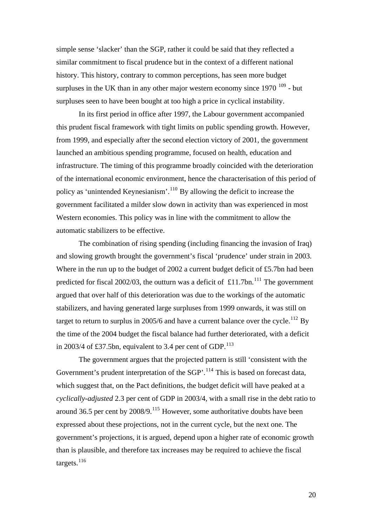simple sense 'slacker' than the SGP, rather it could be said that they reflected a similar commitment to fiscal prudence but in the context of a different national history. This history, contrary to common perceptions, has seen more budget surpluses in the UK than in any other major western economy since  $1970^{109}$  $1970^{109}$  $1970^{109}$  - but surpluses seen to have been bought at too high a price in cyclical instability.

 In its first period in office after 1997, the Labour government accompanied this prudent fiscal framework with tight limits on public spending growth. However, from 1999, and especially after the second election victory of 2001, the government launched an ambitious spending programme, focused on health, education and infrastructure. The timing of this programme broadly coincided with the deterioration of the international economic environment, hence the characterisation of this period of policy as 'unintended Keynesianism'.[110](#page-35-1) By allowing the deficit to increase the government facilitated a milder slow down in activity than was experienced in most Western economies. This policy was in line with the commitment to allow the automatic stabilizers to be effective.

 The combination of rising spending (including financing the invasion of Iraq) and slowing growth brought the government's fiscal 'prudence' under strain in 2003. Where in the run up to the budget of 2002 a current budget deficit of £5.7bn had been predicted for fiscal  $2002/03$ , the outturn was a deficit of £11.7bn.<sup>[111](#page-35-1)</sup> The government argued that over half of this deterioration was due to the workings of the automatic stabilizers, and having generated large surpluses from 1999 onwards, it was still on target to return to surplus in 2005/6 and have a current balance over the cycle.<sup>[112](#page-35-1)</sup> By the time of the 2004 budget the fiscal balance had further deteriorated, with a deficit in 2003/4 of £37.5bn, equivalent to 3.4 per cent of GDP.<sup>[113](#page-35-1)</sup>

 The government argues that the projected pattern is still 'consistent with the Government's prudent interpretation of the  $SGP$ <sup>'.[114](#page-35-1)</sup> This is based on forecast data, which suggest that, on the Pact definitions, the budget deficit will have peaked at a *cyclically-adjusted* 2.3 per cent of GDP in 2003/4, with a small rise in the debt ratio to around 36.5 per cent by  $2008/9$ .<sup>[115](#page-35-1)</sup> However, some authoritative doubts have been expressed about these projections, not in the current cycle, but the next one. The government's projections, it is argued, depend upon a higher rate of economic growth than is plausible, and therefore tax increases may be required to achieve the fiscal targets.<sup>[116](#page-35-1)</sup>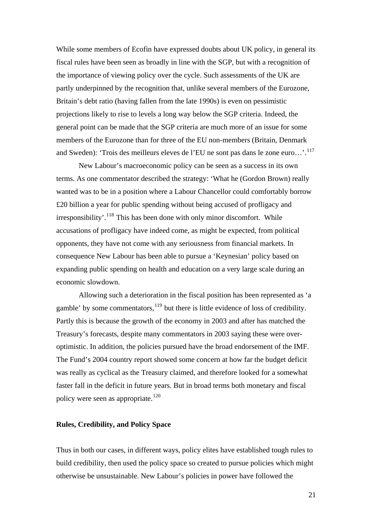While some members of Ecofin have expressed doubts about UK policy, in general its fiscal rules have been seen as broadly in line with the SGP, but with a recognition of the importance of viewing policy over the cycle. Such assessments of the UK are partly underpinned by the recognition that, unlike several members of the Eurozone, Britain's debt ratio (having fallen from the late 1990s) is even on pessimistic projections likely to rise to levels a long way below the SGP criteria. Indeed, the general point can be made that the SGP criteria are much more of an issue for some members of the Eurozone than for three of the EU non-members (Britain, Denmark and Sweden): 'Trois des meilleurs eleves de l'EU ne sont pas dans le zone euro…'.[117](#page-35-1)

New Labour's macroeconomic policy can be seen as a success in its own terms. As one commentator described the strategy: 'What he (Gordon Brown) really wanted was to be in a position where a Labour Chancellor could comfortably borrow £20 billion a year for public spending without being accused of profligacy and irresponsibility'.<sup>[118](#page-35-1)</sup> This has been done with only minor discomfort. While accusations of profligacy have indeed come, as might be expected, from political opponents, they have not come with any seriousness from financial markets. In consequence New Labour has been able to pursue a 'Keynesian' policy based on expanding public spending on health and education on a very large scale during an economic slowdown.

 Allowing such a deterioration in the fiscal position has been represented as 'a gamble' by some commentators, $119$  but there is little evidence of loss of credibility. Partly this is because the growth of the economy in 2003 and after has matched the Treasury's forecasts, despite many commentators in 2003 saying these were overoptimistic. In addition, the policies pursued have the broad endorsement of the IMF. The Fund's 2004 country report showed some concern at how far the budget deficit was really as cyclical as the Treasury claimed, and therefore looked for a somewhat faster fall in the deficit in future years. But in broad terms both monetary and fiscal policy were seen as appropriate.<sup>[120](#page-35-1)</sup>

#### **Rules, Credibility, and Policy Space**

Thus in both our cases, in different ways, policy elites have established tough rules to build credibility, then used the policy space so created to pursue policies which might otherwise be unsustainable. New Labour's policies in power have followed the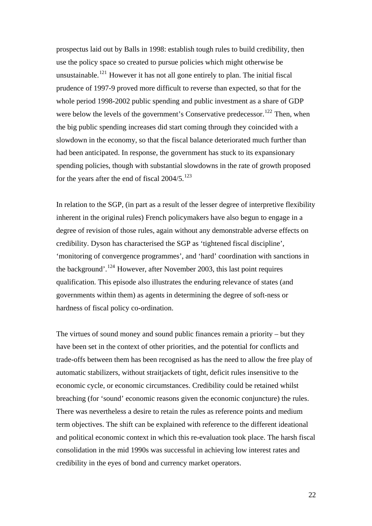prospectus laid out by Balls in 1998: establish tough rules to build credibility, then use the policy space so created to pursue policies which might otherwise be unsustainable.<sup>[121](#page-35-1)</sup> However it has not all gone entirely to plan. The initial fiscal prudence of 1997-9 proved more difficult to reverse than expected, so that for the whole period 1998-2002 public spending and public investment as a share of GDP were below the levels of the government's Conservative predecessor.<sup>[122](#page-35-1)</sup> Then, when the big public spending increases did start coming through they coincided with a slowdown in the economy, so that the fiscal balance deteriorated much further than had been anticipated. In response, the government has stuck to its expansionary spending policies, though with substantial slowdowns in the rate of growth proposed for the years after the end of fiscal  $2004/5$ .<sup>[123](#page-35-1)</sup>

In relation to the SGP, (in part as a result of the lesser degree of interpretive flexibility inherent in the original rules) French policymakers have also begun to engage in a degree of revision of those rules, again without any demonstrable adverse effects on credibility. Dyson has characterised the SGP as 'tightened fiscal discipline', 'monitoring of convergence programmes', and 'hard' coordination with sanctions in the background'.<sup>[124](#page-35-1)</sup> However, after November 2003, this last point requires qualification. This episode also illustrates the enduring relevance of states (and governments within them) as agents in determining the degree of soft-ness or hardness of fiscal policy co-ordination.

The virtues of sound money and sound public finances remain a priority – but they have been set in the context of other priorities, and the potential for conflicts and trade-offs between them has been recognised as has the need to allow the free play of automatic stabilizers, without straitjackets of tight, deficit rules insensitive to the economic cycle, or economic circumstances. Credibility could be retained whilst breaching (for 'sound' economic reasons given the economic conjuncture) the rules. There was nevertheless a desire to retain the rules as reference points and medium term objectives. The shift can be explained with reference to the different ideational and political economic context in which this re-evaluation took place. The harsh fiscal consolidation in the mid 1990s was successful in achieving low interest rates and credibility in the eyes of bond and currency market operators.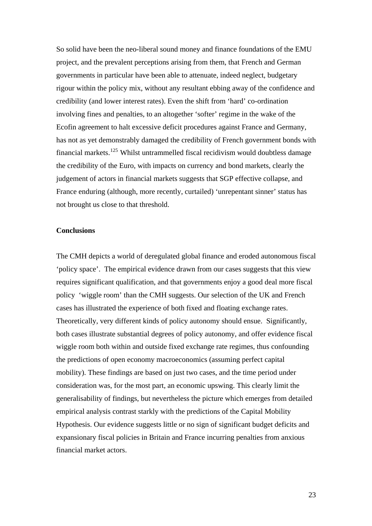So solid have been the neo-liberal sound money and finance foundations of the EMU project, and the prevalent perceptions arising from them, that French and German governments in particular have been able to attenuate, indeed neglect, budgetary rigour within the policy mix, without any resultant ebbing away of the confidence and credibility (and lower interest rates). Even the shift from 'hard' co-ordination involving fines and penalties, to an altogether 'softer' regime in the wake of the Ecofin agreement to halt excessive deficit procedures against France and Germany, has not as yet demonstrably damaged the credibility of French government bonds with financial markets.[125](#page-35-1) Whilst untrammelled fiscal recidivism would doubtless damage the credibility of the Euro, with impacts on currency and bond markets, clearly the judgement of actors in financial markets suggests that SGP effective collapse, and France enduring (although, more recently, curtailed) 'unrepentant sinner' status has not brought us close to that threshold.

## **Conclusions**

The CMH depicts a world of deregulated global finance and eroded autonomous fiscal 'policy space'. The empirical evidence drawn from our cases suggests that this view requires significant qualification, and that governments enjoy a good deal more fiscal policy 'wiggle room' than the CMH suggests. Our selection of the UK and French cases has illustrated the experience of both fixed and floating exchange rates. Theoretically, very different kinds of policy autonomy should ensue. Significantly, both cases illustrate substantial degrees of policy autonomy, and offer evidence fiscal wiggle room both within and outside fixed exchange rate regimes, thus confounding the predictions of open economy macroeconomics (assuming perfect capital mobility). These findings are based on just two cases, and the time period under consideration was, for the most part, an economic upswing. This clearly limit the generalisability of findings, but nevertheless the picture which emerges from detailed empirical analysis contrast starkly with the predictions of the Capital Mobility Hypothesis. Our evidence suggests little or no sign of significant budget deficits and expansionary fiscal policies in Britain and France incurring penalties from anxious financial market actors.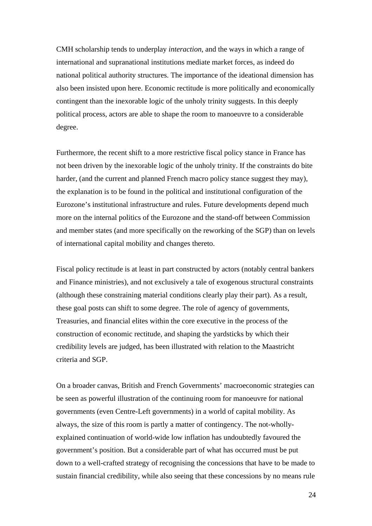CMH scholarship tends to underplay *interaction*, and the ways in which a range of international and supranational institutions mediate market forces, as indeed do national political authority structures. The importance of the ideational dimension has also been insisted upon here. Economic rectitude is more politically and economically contingent than the inexorable logic of the unholy trinity suggests. In this deeply political process, actors are able to shape the room to manoeuvre to a considerable degree.

Furthermore, the recent shift to a more restrictive fiscal policy stance in France has not been driven by the inexorable logic of the unholy trinity. If the constraints do bite harder, (and the current and planned French macro policy stance suggest they may), the explanation is to be found in the political and institutional configuration of the Eurozone's institutional infrastructure and rules. Future developments depend much more on the internal politics of the Eurozone and the stand-off between Commission and member states (and more specifically on the reworking of the SGP) than on levels of international capital mobility and changes thereto.

Fiscal policy rectitude is at least in part constructed by actors (notably central bankers and Finance ministries), and not exclusively a tale of exogenous structural constraints (although these constraining material conditions clearly play their part). As a result, these goal posts can shift to some degree. The role of agency of governments, Treasuries, and financial elites within the core executive in the process of the construction of economic rectitude, and shaping the yardsticks by which their credibility levels are judged, has been illustrated with relation to the Maastricht criteria and SGP.

On a broader canvas, British and French Governments' macroeconomic strategies can be seen as powerful illustration of the continuing room for manoeuvre for national governments (even Centre-Left governments) in a world of capital mobility. As always, the size of this room is partly a matter of contingency. The not-whollyexplained continuation of world-wide low inflation has undoubtedly favoured the government's position. But a considerable part of what has occurred must be put down to a well-crafted strategy of recognising the concessions that have to be made to sustain financial credibility, while also seeing that these concessions by no means rule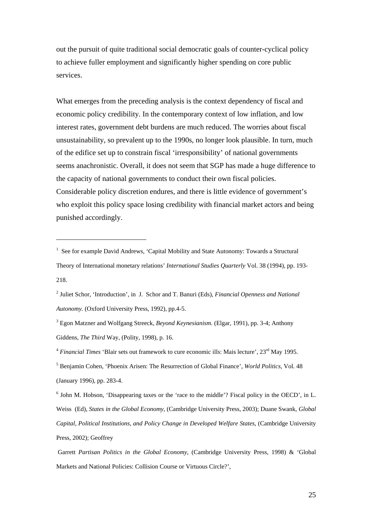out the pursuit of quite traditional social democratic goals of counter-cyclical policy to achieve fuller employment and significantly higher spending on core public services.

What emerges from the preceding analysis is the context dependency of fiscal and economic policy credibility. In the contemporary context of low inflation, and low interest rates, government debt burdens are much reduced. The worries about fiscal unsustainability, so prevalent up to the 1990s, no longer look plausible. In turn, much of the edifice set up to constrain fiscal 'irresponsibility' of national governments seems anachronistic. Overall, it does not seem that SGP has made a huge difference to the capacity of national governments to conduct their own fiscal policies. Considerable policy discretion endures, and there is little evidence of government's who exploit this policy space losing credibility with financial market actors and being punished accordingly.

 $\overline{a}$ 

2 Juliet Schor, 'Introduction', in J. Schor and T. Banuri (Eds), *Financial Openness and National Autonomy.* (Oxford University Press, 1992), pp.4-5.

<sup>&</sup>lt;sup>1</sup> See for example David Andrews, 'Capital Mobility and State Autonomy: Towards a Structural Theory of International monetary relations' *International Studies Quarterly* Vol. 38 (1994), pp. 193- 218.

<sup>3</sup> Egon Matzner and Wolfgang Streeck, *Beyond Keynesianism*. (Elgar, 1991), pp. 3-4; Anthony Giddens, *The Third* Way, (Polity, 1998), p. 16.

<sup>&</sup>lt;sup>4</sup> *Financial Times* 'Blair sets out framework to cure economic ills: Mais lecture', 23<sup>rd</sup> May 1995.

<sup>5</sup> Benjamin Cohen, 'Phoenix Arisen: The Resurrection of Global Finance', *World Politics*, Vol. 48 (January 1996), pp. 283-4.

<sup>&</sup>lt;sup>6</sup> John M. Hobson, 'Disappearing taxes or the 'race to the middle'? Fiscal policy in the OECD', in L. Weiss (Ed), *States in the Global Economy*, (Cambridge University Press, 2003); Duane Swank, *Global Capital, Political Institutions, and Policy Change in Developed Welfare States*, (Cambridge University Press, 2002); Geoffrey

Garrett *Partisan Politics in the Global Economy*, (Cambridge University Press, 1998) & 'Global Markets and National Policies: Collision Course or Virtuous Circle?',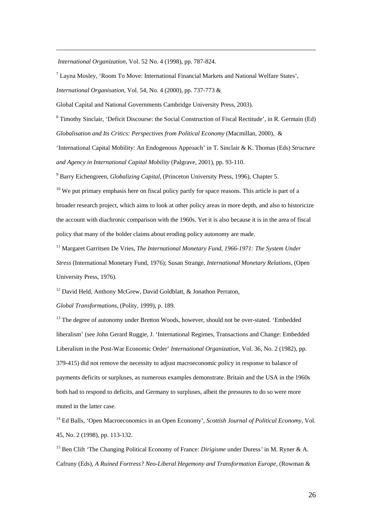*International Organization*, Vol. 52 No. 4 (1998), pp. 787-824.

 $\overline{a}$ 

 $^7$  Layna Mosley, 'Room To Move: International Financial Markets and National Welfare States',

*International Organisation*, Vol. 54, No. 4 (2000), pp. 737-773 &

Global Capital and National Governments Cambridge University Press, 2003).

<sup>8</sup> Timothy Sinclair, 'Deficit Discourse: the Social Construction of Fiscal Rectitude', in R. Germain (Ed) *Globalisation and Its Critics: Perspectives from Political Economy* (Macmillan, 2000), &

'International Capital Mobility: An Endogenous Approach' in T. Sinclair & K. Thomas (Eds) *Structure and Agency in International Capital Mobility* (Palgrave, 2001), pp. 93-110.

9 Barry Eichengreen, *Globalizing Capital*, (Princeton University Press, 1996), Chapter 5.

 $10$  We put primary emphasis here on fiscal policy partly for space reasons. This article is part of a broader research project, which aims to look at other policy areas in more depth, and also to historicize the account with diachronic comparison with the 1960s. Yet it is also because it is in the area of fiscal policy that many of the bolder claims about eroding policy autonomy are made.

<sup>11</sup> Margaret Garritsen De Vries, *The International Monetary Fund, 1966-1971: The System Under Stress* (International Monetary Fund, 1976); Susan Strange, *International Monetary Relations*, (Open University Press, 1976).

 $12$  David Held, Anthony McGrew, David Goldblatt, & Jonathon Perraton,

*Global Transformations*, (Polity, 1999), p. 189.

<sup>13</sup> The degree of autonomy under Bretton Woods, however, should not be over-stated. 'Embedded liberalism' (see John Gerard Ruggie, J. 'International Regimes, Transactions and Change: Embedded Liberalism in the Post-War Economic Order' *International Organization*, Vol. 36, No. 2 (1982), pp. 379-415) did not remove the necessity to adjust macroeconomic policy in response to balance of payments deficits or surpluses, as numerous examples demonstrate. Britain and the USA in the 1960s both had to respond to deficits, and Germany to surpluses, albeit the pressures to do so were more muted in the latter case.

14 Ed Balls, 'Open Macroeconomics in an Open Economy', *Scottish Journal of Political Economy*, Vol. 45, No. 2 (1998), pp. 113-132.

15 Ben Clift *'*The Changing Political Economy of France: *Dirigisme* under Duress*'* in M. Ryner & A. Cafruny (Eds), *A Ruined Fortress? Neo-Liberal Hegemony and Transformation Europe*, (Rowman &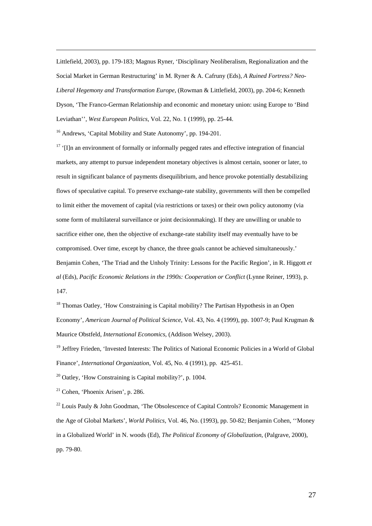Littlefield, 2003), pp. 179-183; Magnus Ryner, 'Disciplinary Neoliberalism, Regionalization and the Social Market in German Restructuring' in M. Ryner & A. Cafruny (Eds), *A Ruined Fortress? Neo-Liberal Hegemony and Transformation Europe*, (Rowman & Littlefield, 2003), pp. 204-6; Kenneth Dyson, 'The Franco-German Relationship and economic and monetary union: using Europe to 'Bind Leviathan'', *West European Politics*, Vol. 22, No. 1 (1999), pp. 25-44.

<sup>16</sup> Andrews, 'Capital Mobility and State Autonomy', pp. 194-201.

 $\overline{a}$ 

 $17$  '[I]n an environment of formally or informally pegged rates and effective integration of financial markets, any attempt to pursue independent monetary objectives is almost certain, sooner or later, to result in significant balance of payments disequilibrium, and hence provoke potentially destabilizing flows of speculative capital. To preserve exchange-rate stability, governments will then be compelled to limit either the movement of capital (via restrictions or taxes) or their own policy autonomy (via some form of multilateral surveillance or joint decisionmaking). If they are unwilling or unable to sacrifice either one, then the objective of exchange-rate stability itself may eventually have to be compromised. Over time, except by chance, the three goals cannot be achieved simultaneously.' Benjamin Cohen, 'The Triad and the Unholy Trinity: Lessons for the Pacific Region', in R. Higgott *et al* (Eds), *Pacific Economic Relations in the 1990s: Cooperation or Conflict* (Lynne Reiner, 1993), p. 147.

<sup>18</sup> Thomas Oatley, 'How Constraining is Capital mobility? The Partisan Hypothesis in an Open Economy', *American Journal of Political Science*, Vol. 43, No. 4 (1999), pp. 1007-9; Paul Krugman & Maurice Obstfeld, *International Economics*, (Addison Welsey, 2003).

<sup>19</sup> Jeffrey Frieden, 'Invested Interests: The Politics of National Economic Policies in a World of Global Finance', *International Organization*, Vol. 45, No. 4 (1991), pp. 425-451.

 $20$  Oatley, 'How Constraining is Capital mobility?', p. 1004.

 $21$  Cohen, 'Phoenix Arisen', p. 286.

 $22$  Louis Pauly & John Goodman, 'The Obsolescence of Capital Controls? Economic Management in the Age of Global Markets', *World Politics*, Vol. 46, No. (1993), pp. 50-82; Benjamin Cohen, ''Money in a Globalized World' in N. woods (Ed), *The Political Economy of Globalization*, (Palgrave, 2000), pp. 79-80.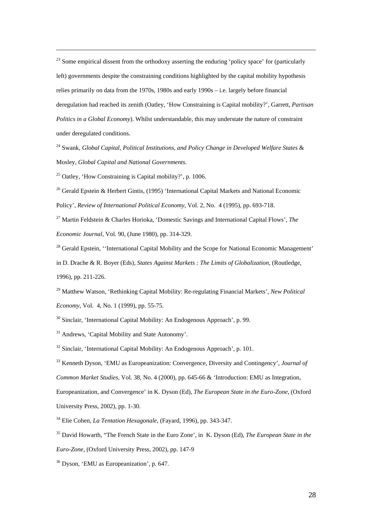<sup>23</sup> Some empirical dissent from the orthodoxy asserting the enduring 'policy space' for (particularly left) governments despite the constraining conditions highlighted by the capital mobility hypothesis relies primarily on data from the 1970s, 1980s and early 1990s – i.e. largely before financial deregulation had reached its zenith (Oatley, 'How Constraining is Capital mobility?', Garrett, *Partisan Politics in a Global Economy*). Whilst understandable, this may understate the nature of constraint under deregulated conditions.

24 Swank, *Global Capital, Political Institutions, and Policy Change in Developed Welfare States* & Mosley, *Global Capital and National Governments.*

<sup>25</sup> Oatley, 'How Constraining is Capital mobility?', p. 1006.

 $\overline{a}$ 

<sup>26</sup> Gerald Epstein & Herbert Gintis, (1995) 'International Capital Markets and National Economic Policy', *Review of International Political Economy*, Vol. 2, No. 4 (1995), pp. 693-718.

27 Martin Feldstein & Charles Horioka, 'Domestic Savings and International Capital Flows', *The Economic Journal*, Vol. 90, (June 1980), pp. 314-329.

<sup>28</sup> Gerald Epstein, "International Capital Mobility and the Scope for National Economic Management' in D. Drache & R. Boyer (Eds), *States Against Markets : The Limits of Globalization*, (Routledge, 1996), pp. 211-226.

29 Matthew Watson, 'Rethinking Capital Mobility: Re-regulating Financial Markets', *New Political Economy*, Vol. 4, No. 1 (1999), pp. 55-75.

<sup>30</sup> Sinclair, 'International Capital Mobility: An Endogenous Approach', p. 99.

<sup>31</sup> Andrews, 'Capital Mobility and State Autonomy'.

 $32$  Sinclair, 'International Capital Mobility: An Endogenous Approach', p. 101.

33 Kenneth Dyson, 'EMU as Europeanization: Convergence, Diversity and Contingency', *Journal of* 

*Common Market Studies*, Vol. 38, No. 4 (2000), pp. 645-66 & 'Introduction: EMU as Integration,

Europeanization, and Convergence' in K. Dyson (Ed), *The European State in the Euro-Zone*, (Oxford

University Press, 2002), pp. 1-30.

34 Elie Cohen, *La Tentation Hexagonale*, (Fayard, 1996), pp. 343-347.

35 David Howarth, "The French State in the Euro Zone', in K. Dyson (Ed), *The European State in the Euro-Zone*, (Oxford University Press, 2002), pp. 147-9

36 Dyson, 'EMU as Europeanization', p. 647.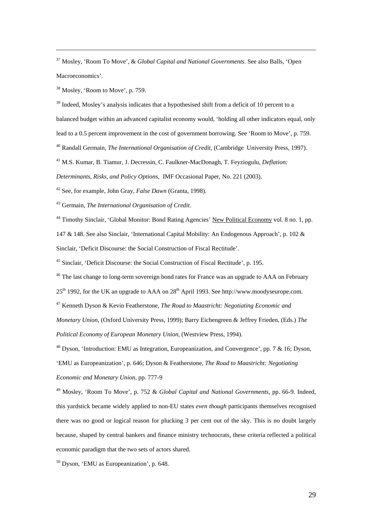37 Mosley, 'Room To Move', & *Global Capital and National Governments*. See also Balls, 'Open Macroeconomics'.

38 Mosley, 'Room to Move', p. 759.

 $\overline{a}$ 

 $39$  Indeed, Mosley's analysis indicates that a hypothesised shift from a deficit of 10 percent to a balanced budget within an advanced capitalist economy would, 'holding all other indicators equal, only lead to a 0.5 percent improvement in the cost of government borrowing. See 'Room to Move', p. 759. 40 Randall Germain, *The International Organisation of Credit*, (Cambridge University Press, 1997).

41 M.S. Kumar, B. Tiamur, J. Decressin, C. Faulkner-MacDonagh, T. Feyziogulu, *Deflation:* 

*Determinants, Risks, and Policy Options*, IMF Occasional Paper, No. 221 (2003).

42 See, for example, John Gray, *False Dawn* (Granta, 1998).

43 Germain, *The International Organisation of Credit*.

<sup>44</sup> Timothy Sinclair, 'Global Monitor: Bond Rating Agencies' New Political Economy vol. 8 no. 1, pp.

147 & 148. See also Sinclair, 'International Capital Mobility: An Endogenous Approach', p. 102 &

Sinclair, 'Deficit Discourse: the Social Construction of Fiscal Rectitude'.

45 Sinclair, 'Deficit Discourse: the Social Construction of Fiscal Rectitude', p. 195.

<sup>46</sup> The last change to long-term sovereign bond rates for France was an upgrade to AAA on February

25<sup>th</sup> 1992, for the UK an upgrade to AAA on 28<sup>th</sup> April 1993. See http://www.moodyseurope.com.

47 Kenneth Dyson & Kevin Featherstone, *The Road to Maastricht: Negotiating Economic and* 

*Monetary Union,* (Oxford University Press, 1999); Barry Eichengreen & Jeffrey Frieden, (Eds.) *The Political Economy of European Monetary Union*, (Westview Press, 1994).

<sup>48</sup> Dyson, 'Introduction: EMU as Integration, Europeanization, and Convergence', pp. 7 & 16; Dyson, 'EMU as Europeanization', p. 646; Dyson & Featherstone, *The Road to Maastricht: Negotiating Economic and Monetary Union*, pp. 777-9

49 Mosley, 'Room To Move', p. 752 & *Global Capital and National Governments*, pp. 66-9. Indeed, this yardstick became widely applied to non-EU states *even though* participants themselves recognised there was no good or logical reason for plucking 3 per cent out of the sky. This is no doubt largely because, shaped by central bankers and finance ministry technocrats, these criteria reflected a political economic paradigm that the two sets of actors shared.

50 Dyson, 'EMU as Europeanization', p. 648.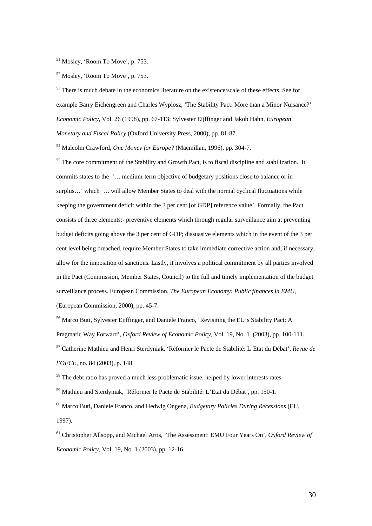51 Mosley, 'Room To Move', p. 753.

 $\overline{a}$ 

52 Mosley, 'Room To Move', p. 753.

<sup>53</sup> There is much debate in the economics literature on the existence/scale of these effects. See for example Barry Eichengreen and Charles Wyplosz, 'The Stability Pact: More than a Minor Nuisance?' *Economic Policy*, Vol. 26 (1998), pp. 67-113; Sylvester Eijffinger and Jakob Hahn, *European Monetary and Fiscal Policy* (Oxford University Press, 2000), pp. 81-87.

54 Malcolm Crawford, *One Money for Europe?* (Macmillan, 1996), pp. 304-7.

<sup>55</sup> The core commitment of the Stability and Growth Pact, is to fiscal discipline and stabilization. It commits states to the '… medium-term objective of budgetary positions close to balance or in surplus…' which '… will allow Member States to deal with the normal cyclical fluctuations while keeping the government deficit within the 3 per cent [of GDP] reference value'. Formally, the Pact consists of three elements:- preventive elements which through regular surveillance aim at preventing budget deficits going above the 3 per cent of GDP; dissuasive elements which in the event of the 3 per cent level being breached, require Member States to take immediate corrective action and, if necessary, allow for the imposition of sanctions. Lastly, it involves a political commitment by all parties involved in the Pact (Commission, Member States, Council) to the full and timely implementation of the budget surveillance process. European Commission, *The European Economy: Public finances in EMU*, (European Commission, 2000), pp. 45-7.

<sup>56</sup> Marco Buti, Sylvester Eijffinger, and Daniele Franco, 'Revisiting the EU's Stability Pact: A Pragmatic Way Forward', *Oxford Review of Economic Policy*, Vol. 19, No. 1 (2003), pp. 100-111. 57 Catherine Mathieu and Henri Sterdyniak, 'Réformer le Pacte de Stabilité: L'Etat du Débat', *Revue de l'OFCE*, no. 84 (2003), p. 148.

<sup>58</sup> The debt ratio has proved a much less problematic issue, helped by lower interests rates.

59 Mathieu and Sterdyniak, 'Réformer le Pacte de Stabilité: L'Etat du Débat', pp. 150-1.

60 Marco Buti, Daniele Franco, and Hedwig Ongena, *Budgetary Policies During Recessions* (EU, 1997).

61 Christopher Allsopp, and Michael Artis, 'The Assessment: EMU Four Years On', *Oxford Review of Economic Policy*, Vol. 19, No. 1 (2003), pp. 12-16.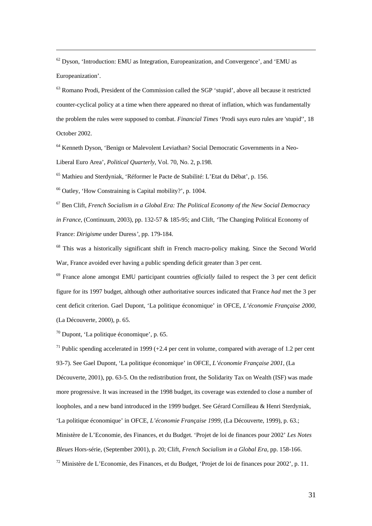$62$  Dyson, 'Introduction: EMU as Integration, Europeanization, and Convergence', and 'EMU as Europeanization'.

 $<sup>63</sup>$  Romano Prodi, President of the Commission called the SGP 'stupid', above all because it restricted</sup> counter-cyclical policy at a time when there appeared no threat of inflation, which was fundamentally the problem the rules were supposed to combat. *Financial Times* 'Prodi says euro rules are 'stupid'', 18 October 2002.

64 Kenneth Dyson, 'Benign or Malevolent Leviathan? Social Democratic Governments in a Neo-Liberal Euro Area', *Political Quarterly*, Vol. 70, No. 2, p.198.

65 Mathieu and Sterdyniak, 'Réformer le Pacte de Stabilité: L'Etat du Débat', p. 156.

66 Oatley, 'How Constraining is Capital mobility?', p. 1004.

 $\overline{a}$ 

67 Ben Clift, *French Socialism in a Global Era: The Political Economy of the New Social Democracy in France*, (Continuum, 2003), pp. 132-57 & 185-95; and Clift, *'*The Changing Political Economy of France: *Dirigisme* under Duress*'*, pp. 179-184.

<sup>68</sup> This was a historically significant shift in French macro-policy making. Since the Second World War, France avoided ever having a public spending deficit greater than 3 per cent.

69 France alone amongst EMU participant countries *officially* failed to respect the 3 per cent deficit figure for its 1997 budget, although other authoritative sources indicated that France *had* met the 3 per cent deficit criterion. Gael Dupont, 'La politique économique' in OFCE, *L'économie Française 2000*, (La Découverte, 2000), p. 65.

70 Dupont, 'La politique économique', p. 65.

<sup>71</sup> Public spending accelerated in 1999 (+2.4 per cent in volume, compared with average of 1.2 per cent 93-7). See Gael Dupont, 'La politique économique' in OFCE, *L'économie Française 2001*, (La Découverte, 2001), pp. 63-5. On the redistribution front, the Solidarity Tax on Wealth (ISF) was made more progressive. It was increased in the 1998 budget, its coverage was extended to close a number of loopholes, and a new band introduced in the 1999 budget. See Gérard Cornilleau & Henri Sterdyniak, 'La politique économique' in OFCE, *L'économie Française 1999*, (La Découverte, 1999), p. 63.; Ministère de L'Economie, des Finances, et du Budget. 'Projet de loi de finances pour 2002' *Les Notes Bleues* Hors-série, (September 2001), p. 20; Clift, *French Socialism in a Global Era*, pp. 158-166.

 $72$  Ministère de L'Economie, des Finances, et du Budget, 'Projet de loi de finances pour 2002', p. 11.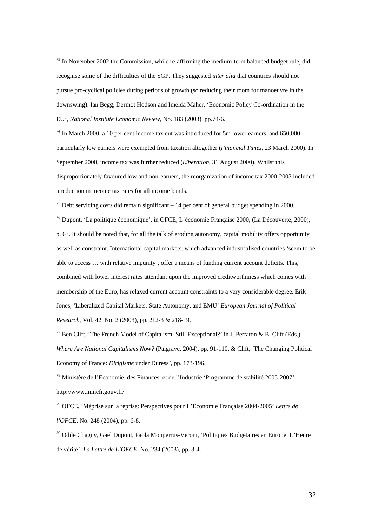$<sup>73</sup>$  In November 2002 the Commission, while re-affirming the medium-term balanced budget rule, did</sup> recognise some of the difficulties of the SGP. They suggested *inter alia* that countries should not pursue pro-cyclical policies during periods of growth (so reducing their room for manoeuvre in the downswing). Ian Begg, Dermot Hodson and Imelda Maher, 'Economic Policy Co-ordination in the EU', *National Institute Economic Review*, No. 183 (2003), pp.74-6.

 $\overline{a}$ 

 $74$  In March 2000, a 10 per cent income tax cut was introduced for 5m lower earners, and 650,000 particularly low earners were exempted from taxation altogether (*Financial Times*, 23 March 2000). In September 2000, income tax was further reduced (*Libération*, 31 August 2000). Whilst this disproportionately favoured low and non-earners, the reorganization of income tax 2000-2003 included a reduction in income tax rates for all income bands.

75 Debt servicing costs did remain significant – 14 per cent of general budget spending in 2000. 76 Dupont, 'La politique économique', in OFCE, L'économie Française 2000, (La Découverte, 2000), p. 63. It should be noted that, for all the talk of eroding autonomy, capital mobility offers opportunity as well as constraint. International capital markets, which advanced industrialised countries 'seem to be able to access … with relative impunity', offer a means of funding current account deficits. This, combined with lower interest rates attendant upon the improved creditworthiness which comes with membership of the Euro, has relaxed current account constraints to a very considerable degree. Erik Jones, 'Liberalized Capital Markets, State Autonomy, and EMU' *European Journal of Political Research*, Vol. 42, No. 2 (2003), pp. 212-3 & 218-19.

<sup>77</sup> Ben Clift, 'The French Model of Capitalism: Still Exceptional?' in J. Perraton & B. Clift (Eds.), *Where Are National Capitalisms Now?* (Palgrave, 2004), pp. 91-110, & Clift, *'*The Changing Political Economy of France: *Dirigisme* under Duress*'*, pp. 173-196.

78 Ministère de l'Economie, des Finances, et de l'Industrie 'Programme de stabilité 2005-2007'. http://www.minefi.gouv.fr/

79 OFCE, 'Méprise sur la reprise: Perspectives pour L'Economie Française 2004-2005' *Lettre de l'OFCE*, No. 248 (2004), pp. 6-8.

80 Odile Chagny, Gael Dupont, Paola Monperrus-Veroni, 'Politiques Budgétaires en Europe: L'Heure de vérité', *La Lettre de L'OFCE*, No. 234 (2003), pp. 3-4.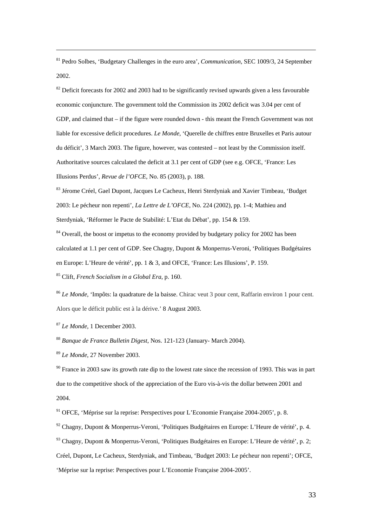81 Pedro Solbes, 'Budgetary Challenges in the euro area', *Communication*, SEC 1009/3, 24 September 2002.

 $82$  Deficit forecasts for 2002 and 2003 had to be significantly revised upwards given a less favourable economic conjuncture. The government told the Commission its 2002 deficit was 3.04 per cent of GDP, and claimed that – if the figure were rounded down - this meant the French Government was not liable for excessive deficit procedures. *Le Monde*, 'Querelle de chiffres entre Bruxelles et Paris autour du déficit', 3 March 2003. The figure, however, was contested – not least by the Commission itself. Authoritative sources calculated the deficit at 3.1 per cent of GDP (see e.g. OFCE, 'France: Les Illusions Perdus', *Revue de l'OFCE*, No. 85 (2003), p. 188.

83 Jérome Créel, Gael Dupont, Jacques Le Cacheux, Henri Sterdyniak and Xavier Timbeau, 'Budget 2003: Le pécheur non repenti', *La Lettre de L'OFCE*, No. 224 (2002), pp. 1-4; Mathieu and Sterdyniak, 'Réformer le Pacte de Stabilité: L'Etat du Débat', pp. 154 & 159.

<sup>84</sup> Overall, the boost or impetus to the economy provided by budgetary policy for 2002 has been calculated at 1.1 per cent of GDP. See Chagny, Dupont & Monperrus-Veroni, 'Politiques Budgétaires en Europe: L'Heure de vérité', pp. 1 & 3, and OFCE, 'France: Les Illusions', P. 159. 85 Clift, *French Socialism in a Global Era*, p. 160.

<sup>86</sup> *Le Monde*, 'Impôts: la quadrature de la baisse. Chirac veut 3 pour cent, Raffarin environ 1 pour cent. Alors que le déficit public est à la dérive.' 8 August 2003.

<sup>87</sup> *Le Monde,* 1 December 2003.

 $\overline{a}$ 

<sup>88</sup> *Banque de France Bulletin Digest*, Nos. 121-123 (January- March 2004).

<sup>89</sup> *Le Monde*, 27 November 2003.

 $90$  France in 2003 saw its growth rate dip to the lowest rate since the recession of 1993. This was in part due to the competitive shock of the appreciation of the Euro vis-à-vis the dollar between 2001 and 2004.

 $91$  OFCE, 'Méprise sur la reprise: Perspectives pour L'Economie Française 2004-2005', p. 8.

92 Chagny, Dupont & Monperrus-Veroni, 'Politiques Budgétaires en Europe: L'Heure de vérité', p. 4.

93 Chagny, Dupont & Monperrus-Veroni, 'Politiques Budgétaires en Europe: L'Heure de vérité', p. 2;

Créel, Dupont, Le Cacheux, Sterdyniak, and Timbeau, 'Budget 2003: Le pécheur non repenti'; OFCE,

'Méprise sur la reprise: Perspectives pour L'Economie Française 2004-2005'.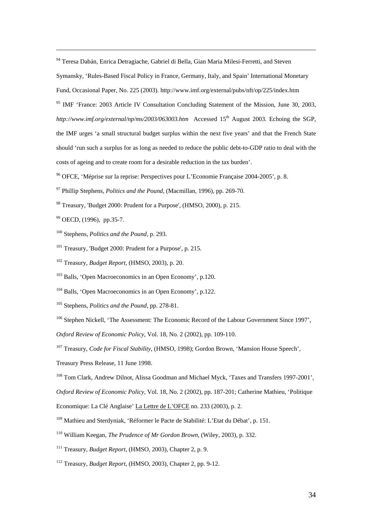94 Teresa Dabán, Enrica Detragiache, Gabriel di Bella, Gian Maria Milesi-Ferretti, and Steven

Symansky, 'Rules-Based Fiscal Policy in France, Germany, Italy, and Spain' International Monetary

Fund, Occasional Paper, No. 225 (2003). http://www.imf.org/external/pubs/nft/op/225/index.htm

<sup>95</sup> IMF 'France: 2003 Article IV Consultation Concluding Statement of the Mission, June 30, 2003, http://www.imf.org/external/np/ms/2003/063003.htm Accessed 15<sup>th</sup> August 2003. Echoing the SGP, the IMF urges 'a small structural budget surplus within the next five years' and that the French State should 'run such a surplus for as long as needed to reduce the public debt-to-GDP ratio to deal with the costs of ageing and to create room for a desirable reduction in the tax burden'.

96 OFCE, 'Méprise sur la reprise: Perspectives pour L'Economie Française 2004-2005', p. 8.

- 97 Phillip Stephens, *Politics and the Pound*, (Macmillan, 1996), pp. 269-70.
- 98 Treasury, 'Budget 2000: Prudent for a Purpose', (HMSO, 2000), p. 215.
- 99 OECD, (1996), pp.35-7.

 $\overline{a}$ 

- 100 Stephens, *Politics and the Pound*, p. 293.
- <sup>101</sup> Treasury, 'Budget 2000: Prudent for a Purpose', p. 215.
- 102 Treasury, *Budget Report*, (HMSO, 2003), p. 20.

103 Balls, 'Open Macroeconomics in an Open Economy', p.120.

104 Balls, 'Open Macroeconomics in an Open Economy', p.122.

105 Stephens, *Politics and the Pound*, pp. 278-81.

<sup>106</sup> Stephen Nickell, 'The Assessment: The Economic Record of the Labour Government Since 1997',

*Oxford Review of Economic Policy*, Vol. 18, No. 2 (2002), pp. 109-110.

107 Treasury, *Code for Fiscal Stability*, (HMSO, 1998); Gordon Brown, 'Mansion House Speech',

Treasury Press Release, 11 June 1998.

108 Tom Clark, Andrew Dilnot, Alissa Goodman and Michael Myck, 'Taxes and Transfers 1997-2001',

*Oxford Review of Economic Policy*, Vol. 18, No. 2 (2002), pp. 187-201; Catherine Mathieu, 'Politique

- Economique: La Clé Anglaise' La Lettre de L'OFCE no. 233 (2003), p. 2.
- 109 Mathieu and Sterdyniak, 'Réformer le Pacte de Stabilité: L'Etat du Débat', p. 151.
- 110 William Keegan, *The Prudence of Mr Gordon Brown*, (Wiley, 2003), p. 332.
- 111 Treasury, *Budget Report*, (HMSO, 2003), Chapter 2, p. 9.
- 112 Treasury, *Budget Report*, (HMSO, 2003), Chapter 2, pp. 9-12.